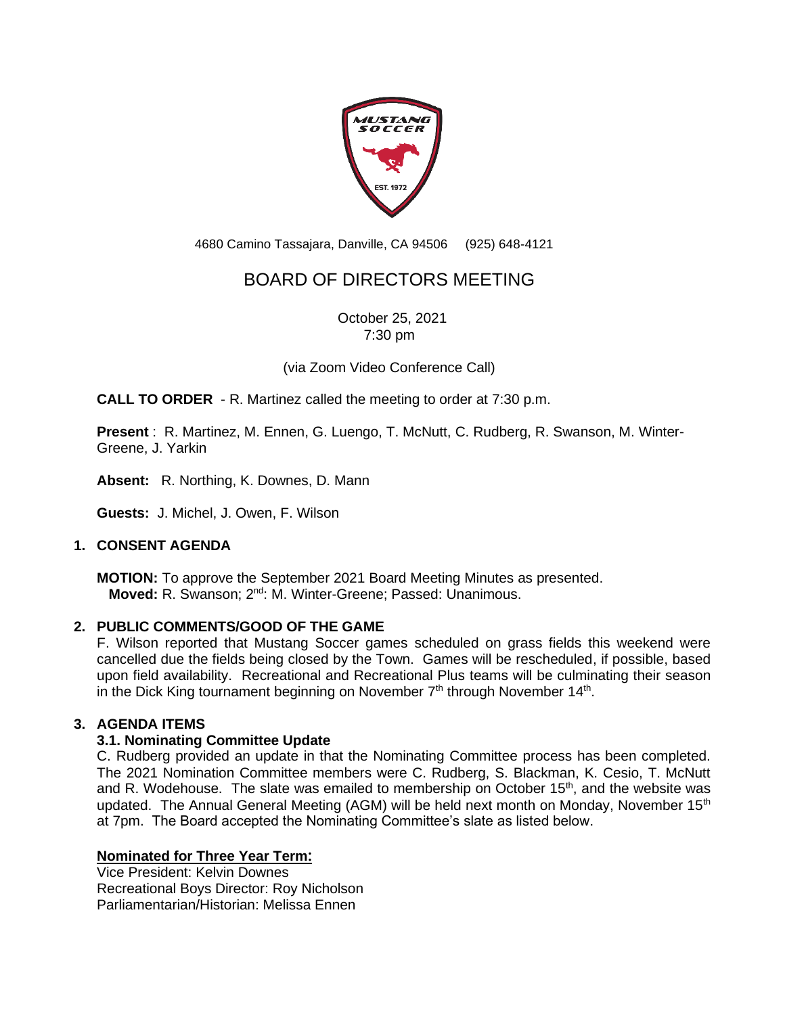

4680 Camino Tassajara, Danville, CA 94506 (925) 648-4121

# BOARD OF DIRECTORS MEETING

October 25, 2021 7:30 pm

(via Zoom Video Conference Call)

**CALL TO ORDER** - R. Martinez called the meeting to order at 7:30 p.m.

**Present** : R. Martinez, M. Ennen, G. Luengo, T. McNutt, C. Rudberg, R. Swanson, M. Winter-Greene, J. Yarkin

**Absent:** R. Northing, K. Downes, D. Mann

**Guests:** J. Michel, J. Owen, F. Wilson

# **1. CONSENT AGENDA**

**MOTION:** To approve the September 2021 Board Meeting Minutes as presented. Moved: R. Swanson; 2<sup>nd</sup>: M. Winter-Greene; Passed: Unanimous.

#### **2. PUBLIC COMMENTS/GOOD OF THE GAME**

F. Wilson reported that Mustang Soccer games scheduled on grass fields this weekend were cancelled due the fields being closed by the Town. Games will be rescheduled, if possible, based upon field availability. Recreational and Recreational Plus teams will be culminating their season in the Dick King tournament beginning on November  $7<sup>th</sup>$  through November 14<sup>th</sup>.

#### **3. AGENDA ITEMS**

# **3.1. Nominating Committee Update**

C. Rudberg provided an update in that the Nominating Committee process has been completed. The 2021 Nomination Committee members were C. Rudberg, S. Blackman, K. Cesio, T. McNutt and R. Wodehouse. The slate was emailed to membership on October 15<sup>th</sup>, and the website was updated. The Annual General Meeting (AGM) will be held next month on Monday, November 15<sup>th</sup> at 7pm. The Board accepted the Nominating Committee's slate as listed below.

# **Nominated for Three Year Term:**

Vice President: Kelvin Downes Recreational Boys Director: Roy Nicholson Parliamentarian/Historian: Melissa Ennen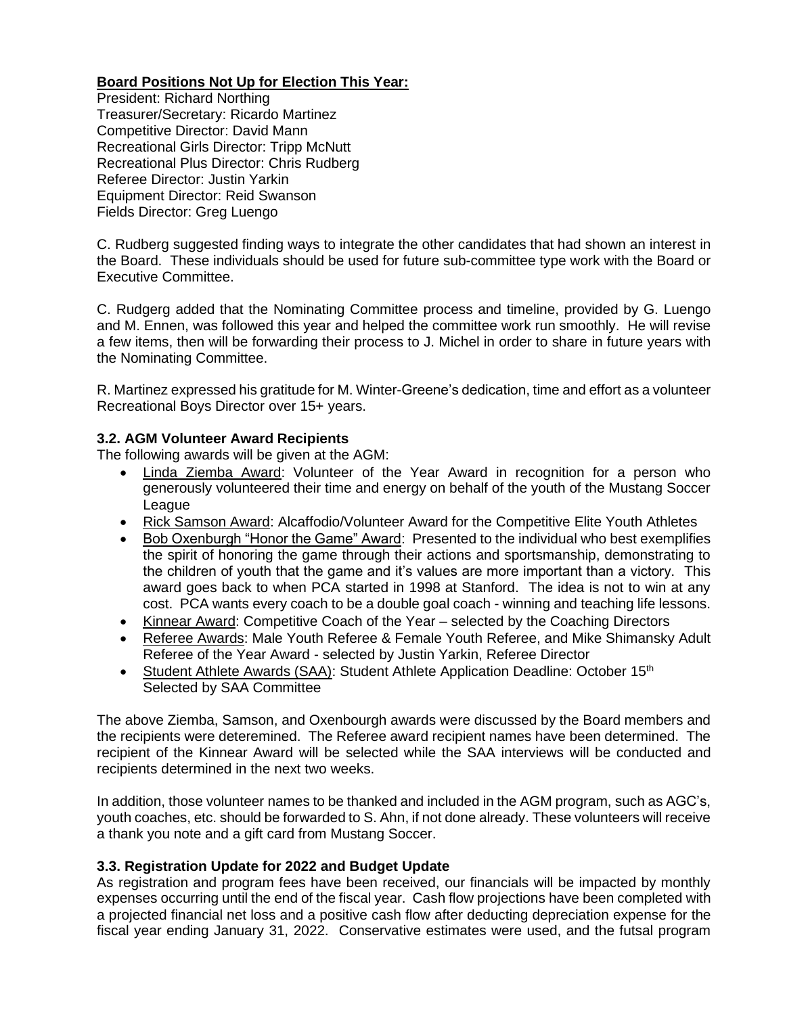# **Board Positions Not Up for Election This Year:**

President: Richard Northing Treasurer/Secretary: Ricardo Martinez Competitive Director: David Mann Recreational Girls Director: Tripp McNutt Recreational Plus Director: Chris Rudberg Referee Director: Justin Yarkin Equipment Director: Reid Swanson Fields Director: Greg Luengo

C. Rudberg suggested finding ways to integrate the other candidates that had shown an interest in the Board. These individuals should be used for future sub-committee type work with the Board or Executive Committee.

C. Rudgerg added that the Nominating Committee process and timeline, provided by G. Luengo and M. Ennen, was followed this year and helped the committee work run smoothly. He will revise a few items, then will be forwarding their process to J. Michel in order to share in future years with the Nominating Committee.

R. Martinez expressed his gratitude for M. Winter-Greene's dedication, time and effort as a volunteer Recreational Boys Director over 15+ years.

# **3.2. AGM Volunteer Award Recipients**

The following awards will be given at the AGM:

- Linda Ziemba Award: Volunteer of the Year Award in recognition for a person who generously volunteered their time and energy on behalf of the youth of the Mustang Soccer League
- Rick Samson Award: Alcaffodio/Volunteer Award for the Competitive Elite Youth Athletes
- Bob Oxenburgh "Honor the Game" Award: Presented to the individual who best exemplifies the spirit of honoring the game through their actions and sportsmanship, demonstrating to the children of youth that the game and it's values are more important than a victory. This award goes back to when PCA started in 1998 at Stanford. The idea is not to win at any cost. PCA wants every coach to be a double goal coach - winning and teaching life lessons.
- Kinnear Award: Competitive Coach of the Year selected by the Coaching Directors
- Referee Awards: Male Youth Referee & Female Youth Referee, and Mike Shimansky Adult Referee of the Year Award - selected by Justin Yarkin, Referee Director
- Student Athlete Awards (SAA): Student Athlete Application Deadline: October 15<sup>th</sup> Selected by SAA Committee

The above Ziemba, Samson, and Oxenbourgh awards were discussed by the Board members and the recipients were deteremined. The Referee award recipient names have been determined. The recipient of the Kinnear Award will be selected while the SAA interviews will be conducted and recipients determined in the next two weeks.

In addition, those volunteer names to be thanked and included in the AGM program, such as AGC's, youth coaches, etc. should be forwarded to S. Ahn, if not done already. These volunteers will receive a thank you note and a gift card from Mustang Soccer.

# **3.3. Registration Update for 2022 and Budget Update**

As registration and program fees have been received, our financials will be impacted by monthly expenses occurring until the end of the fiscal year. Cash flow projections have been completed with a projected financial net loss and a positive cash flow after deducting depreciation expense for the fiscal year ending January 31, 2022. Conservative estimates were used, and the futsal program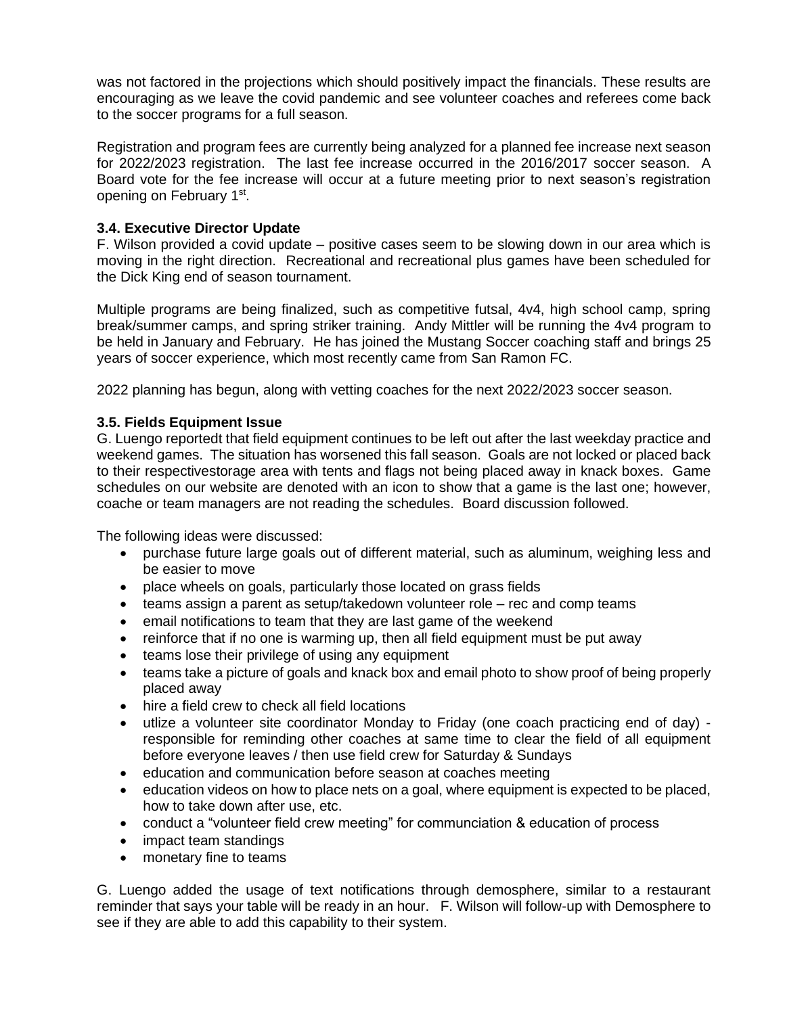was not factored in the projections which should positively impact the financials. These results are encouraging as we leave the covid pandemic and see volunteer coaches and referees come back to the soccer programs for a full season.

Registration and program fees are currently being analyzed for a planned fee increase next season for 2022/2023 registration. The last fee increase occurred in the 2016/2017 soccer season. A Board vote for the fee increase will occur at a future meeting prior to next season's registration opening on February 1<sup>st</sup>.

# **3.4. Executive Director Update**

F. Wilson provided a covid update – positive cases seem to be slowing down in our area which is moving in the right direction. Recreational and recreational plus games have been scheduled for the Dick King end of season tournament.

Multiple programs are being finalized, such as competitive futsal, 4v4, high school camp, spring break/summer camps, and spring striker training. Andy Mittler will be running the 4v4 program to be held in January and February. He has joined the Mustang Soccer coaching staff and brings 25 years of soccer experience, which most recently came from San Ramon FC.

2022 planning has begun, along with vetting coaches for the next 2022/2023 soccer season.

# **3.5. Fields Equipment Issue**

G. Luengo reportedt that field equipment continues to be left out after the last weekday practice and weekend games. The situation has worsened this fall season. Goals are not locked or placed back to their respectivestorage area with tents and flags not being placed away in knack boxes. Game schedules on our website are denoted with an icon to show that a game is the last one; however, coache or team managers are not reading the schedules. Board discussion followed.

The following ideas were discussed:

- purchase future large goals out of different material, such as aluminum, weighing less and be easier to move
- place wheels on goals, particularly those located on grass fields
- teams assign a parent as setup/takedown volunteer role rec and comp teams
- email notifications to team that they are last game of the weekend
- reinforce that if no one is warming up, then all field equipment must be put away
- teams lose their privilege of using any equipment
- teams take a picture of goals and knack box and email photo to show proof of being properly placed away
- hire a field crew to check all field locations
- utlize a volunteer site coordinator Monday to Friday (one coach practicing end of day) responsible for reminding other coaches at same time to clear the field of all equipment before everyone leaves / then use field crew for Saturday & Sundays
- education and communication before season at coaches meeting
- education videos on how to place nets on a goal, where equipment is expected to be placed, how to take down after use, etc.
- conduct a "volunteer field crew meeting" for communciation & education of process
- impact team standings
- monetary fine to teams

G. Luengo added the usage of text notifications through demosphere, similar to a restaurant reminder that says your table will be ready in an hour. F. Wilson will follow-up with Demosphere to see if they are able to add this capability to their system.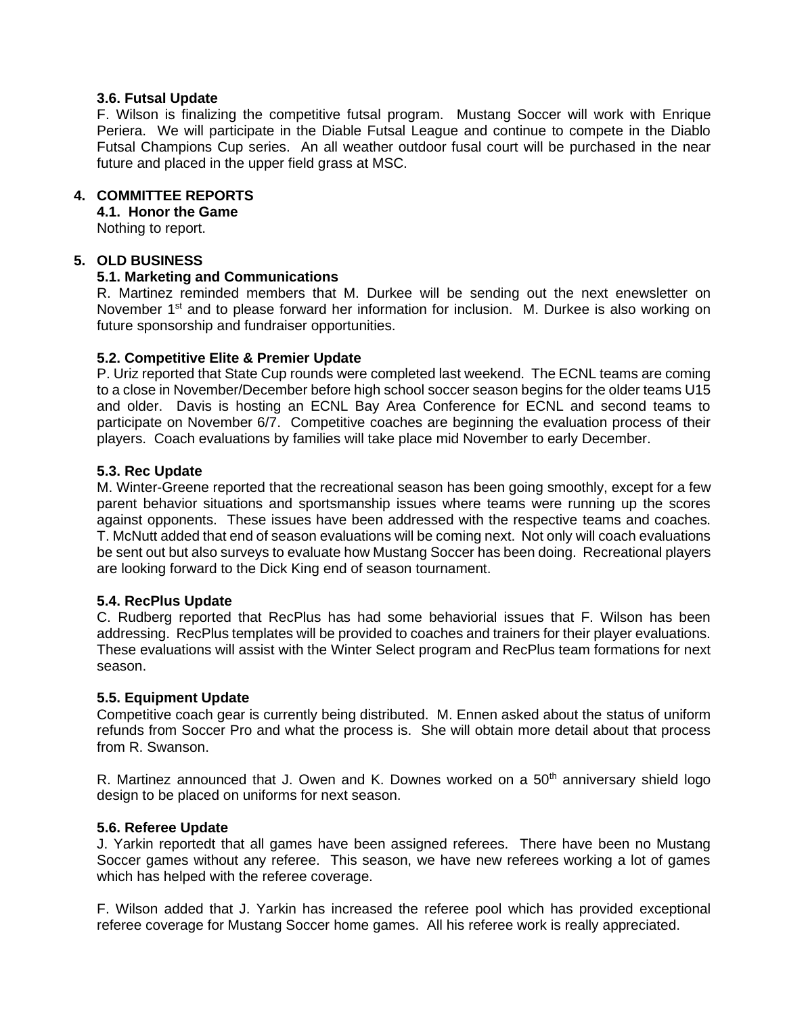#### **3.6. Futsal Update**

F. Wilson is finalizing the competitive futsal program. Mustang Soccer will work with Enrique Periera. We will participate in the Diable Futsal League and continue to compete in the Diablo Futsal Champions Cup series. An all weather outdoor fusal court will be purchased in the near future and placed in the upper field grass at MSC.

#### **4. COMMITTEE REPORTS**

**4.1. Honor the Game**

Nothing to report.

#### **5. OLD BUSINESS**

#### **5.1. Marketing and Communications**

R. Martinez reminded members that M. Durkee will be sending out the next enewsletter on November  $1<sup>st</sup>$  and to please forward her information for inclusion. M. Durkee is also working on future sponsorship and fundraiser opportunities.

#### **5.2. Competitive Elite & Premier Update**

P. Uriz reported that State Cup rounds were completed last weekend. The ECNL teams are coming to a close in November/December before high school soccer season begins for the older teams U15 and older. Davis is hosting an ECNL Bay Area Conference for ECNL and second teams to participate on November 6/7. Competitive coaches are beginning the evaluation process of their players. Coach evaluations by families will take place mid November to early December.

#### **5.3. Rec Update**

M. Winter-Greene reported that the recreational season has been going smoothly, except for a few parent behavior situations and sportsmanship issues where teams were running up the scores against opponents. These issues have been addressed with the respective teams and coaches. T. McNutt added that end of season evaluations will be coming next. Not only will coach evaluations be sent out but also surveys to evaluate how Mustang Soccer has been doing. Recreational players are looking forward to the Dick King end of season tournament.

#### **5.4. RecPlus Update**

C. Rudberg reported that RecPlus has had some behaviorial issues that F. Wilson has been addressing. RecPlus templates will be provided to coaches and trainers for their player evaluations. These evaluations will assist with the Winter Select program and RecPlus team formations for next season.

#### **5.5. Equipment Update**

Competitive coach gear is currently being distributed. M. Ennen asked about the status of uniform refunds from Soccer Pro and what the process is. She will obtain more detail about that process from R. Swanson.

R. Martinez announced that J. Owen and K. Downes worked on a  $50<sup>th</sup>$  anniversary shield logo design to be placed on uniforms for next season.

#### **5.6. Referee Update**

J. Yarkin reportedt that all games have been assigned referees. There have been no Mustang Soccer games without any referee. This season, we have new referees working a lot of games which has helped with the referee coverage.

F. Wilson added that J. Yarkin has increased the referee pool which has provided exceptional referee coverage for Mustang Soccer home games. All his referee work is really appreciated.